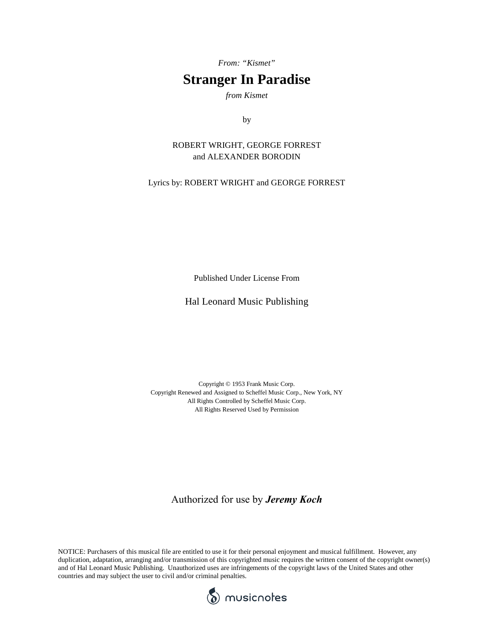*From: "Kismet"*

## **Stranger In Paradise**

*from Kismet*

by

#### ROBERT WRIGHT, GEORGE FORREST and ALEXANDER BORODIN

Lyrics by: ROBERT WRIGHT and GEORGE FORREST

Published Under License From

#### Hal Leonard Music Publishing

Copyright © 1953 Frank Music Corp. Copyright Renewed and Assigned to Scheffel Music Corp., New York, NY All Rights Controlled by Scheffel Music Corp. All Rights Reserved Used by Permission

### Authorized for use by *Jeremy Koch*

NOTICE: Purchasers of this musical file are entitled to use it for their personal enjoyment and musical fulfillment. However, any duplication, adaptation, arranging and/or transmission of this copyrighted music requires the written consent of the copyright owner(s) and of Hal Leonard Music Publishing. Unauthorized uses are infringements of the copyright laws of the United States and other countries and may subject the user to civil and/or criminal penalties.

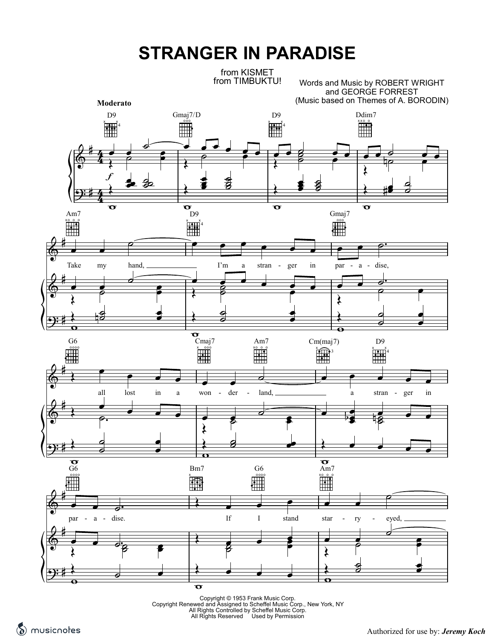# **STRANGER IN PARADISE**

from KISMET from TIMBUKTU!

Words and Music by ROBERT WRIGHT and GEORGE FORREST (Music based on Themes of A. BORODIN)



Copyright © 1953 Frank Music Corp.<br>Copyright Renewed and Assigned to Scheffel Music Corp., New York, NY<br>All Rights Controlled by Scheffel Music Corp.<br>All Rights Reserved Used by Permission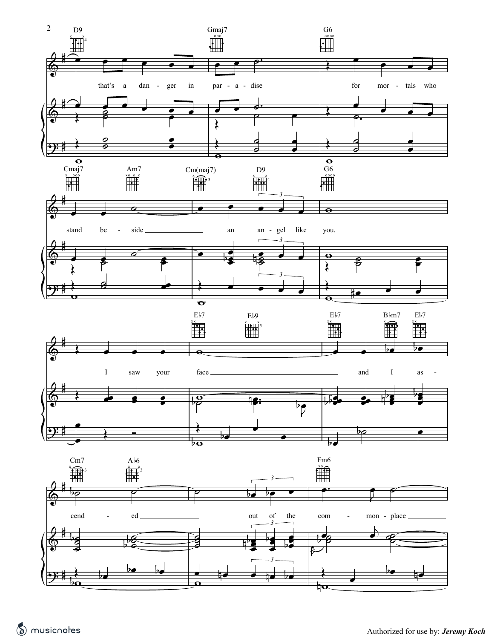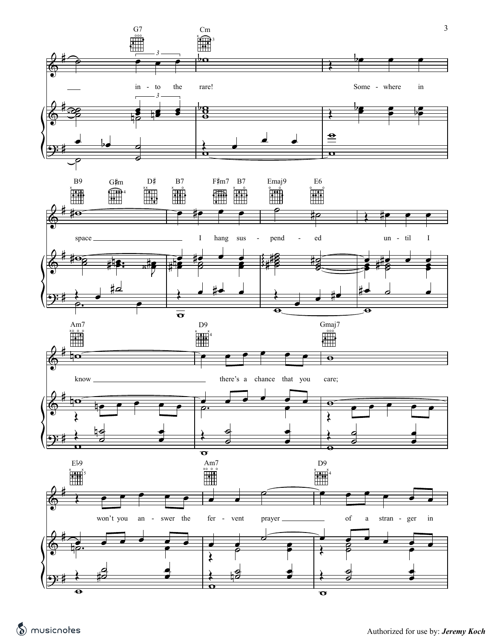